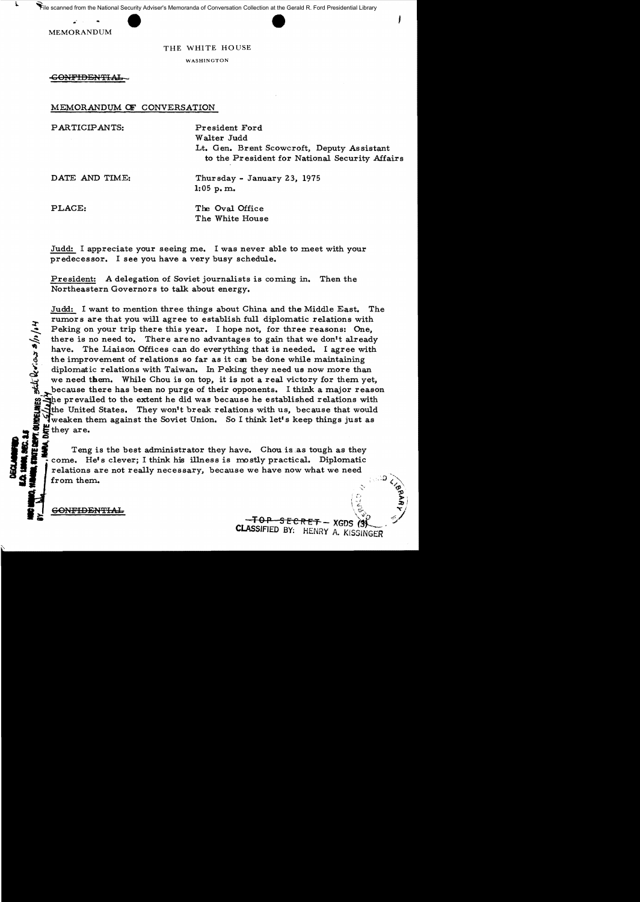File scanned from the National Security Adviser's Memoranda of Conversation Collection at the Gerald R. Ford Presidential Library



## THE WHITE HOUSE

WASHINGTON

GONFIDENTIAL

MEMORANDUM OF CONVERSATION

PARTICIPANTS: President Ford

Walter Judd Lt. Gen. Brent Scowcroft, Deputy Assistant to the President for National Security Affairs

DATE AND TIME: Thursday - January 23, 1975 1:05 p. m.

PLACE: The Oval Office The White House

Judd: I appreciate your seeing me. I was never able to meet with your predecessor. I see you have a very busy schedule.

President: A delegation of Soviet journalists is coming in. Then the Northeastern Governors to talk about energy.

Judd: I want to mention three things about China and the Middle East. The rumors are that you will agree to establish full diplomatic relations with Peking on your trip there this year. I hope not, for three reasons: One,<br>there is no need to. There are no advantages to gain that we don't already<br>have. The Liaison Offices can do everything that is needed. I agree with<br>t there is no need to. There are no advantages to gain that we don't already have. The Liaison Offices can do everything that is needed. I agree with the improvement of relations so far as it can be done while maintaining diplomatic relations with Taiwan. In Peking they need us now more than we need them. While Chou is on top, it is not a real victory for them yet, because there has been no purge of their opponents. I think a major reason the prevailed to the extent he did was because he established relations with the United States. They won't break relations with us, because that would Wheaken them against the Soviet Union. So I think let's keep things just as they are.

i SEC. 1<br>UE DEPT<br>NARA, D, Teng is the best administrator they have. Chouisas tough as they -come. He's clever; I think his illness is mostly practical. Diplomatic relations are not really necessary, because we have now what we need from them.  $\mathbb{R}^2$  , and the contract of the contract of the contract of the contract of the contract of the contract of the contract of the contract of the contract of the contract of the contract of the contract of the contract

 $\mathcal{L}$  confidential  $\mathcal{L}$ 

**EXECUTE** 

 $\overline{GONFIDENTHAL}$  ,  $\overline{GOPFIDENTHAL}$  ,  $\overline{GOPF} = \overline{GCPF} + \overline{G}T$  $\overbrace{\text{COMFIDENITAL}}^{\text{COMFIDENITAL}}$  CLASSIFIED BY: HENRY A. KISSINGER

 $\sim$ 

 $\frac{1}{2}$   $\frac{1}{2}$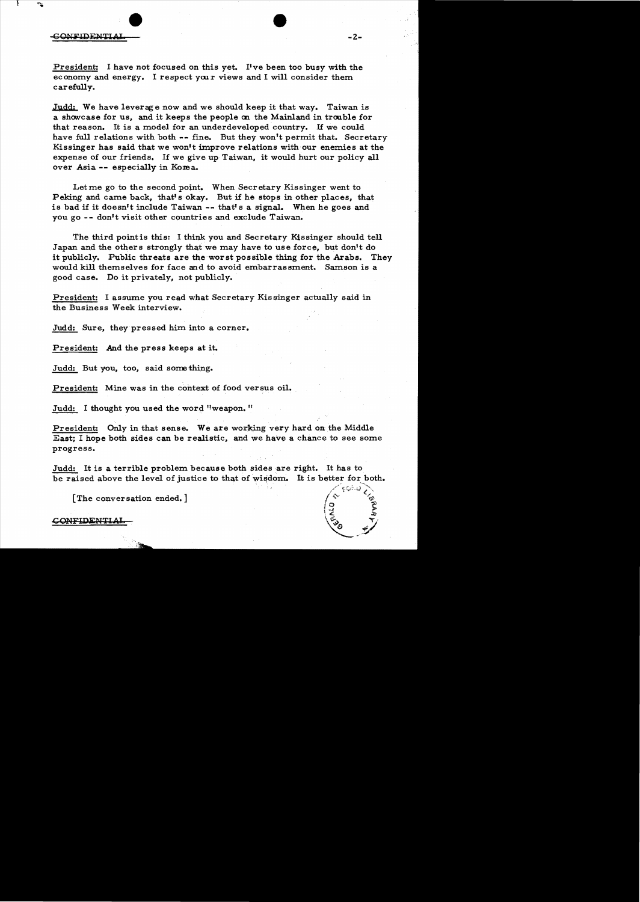President: I have not focused on this yet. I've been too busy with the economy and energy. I respect your views and I will consider them carefully.

Judd: We have leverage now and we should keep it that way. Taiwan is a show case for us, and it keeps the people on the Mainland in trouble for that reason. It is a model for an underdeveloped country. If we could have full relations with both -- fine. But they won't permit that. Secretary Kissinger has said that we won't improve relations with our enemies at the expense of our friends. If we give up Taiwan, it would hurt our policy all over Asia -- especially in Korea.

Letme go to the second point. When Secretary Kissinger went to Peking and came back, that's okay. But if he stops in other places, that is bad if it doesn't include Taiwan -- that's a signal. When he goes and you go -- don't visit other countries and exclude Taiwan.

The third pointis this: I think you and Secretary Kissinger should tell Japan and the others strongly that we may have to use force, but don't do it publicly. Public threats are the worst possible thing for the Arabs. They would kill themselves for face and to avoid embarrassment. Samson is a good case. Do it privately, not publicly.

President: I assume you read what Secretary Kissinger actually said in the Business Week interview.

Judd: Sure, they pressed him into a corner.

President: And the press keeps at it.

Judd: But you, too, said some thing.

President: Mine was in the context of food versus oil.

Judd: I thought you used the word "weapon."

President: Only in that sense. We are working very hard on the Middle East; I hope both sides can be realistic, and we have a chance to see some progress.

Judd: It is a terrible problem because both sides are right. It has to be raised above the level of justice to that of wisdom. It is better for both.

[The conversation ended.]

## **CONFIDENTIA**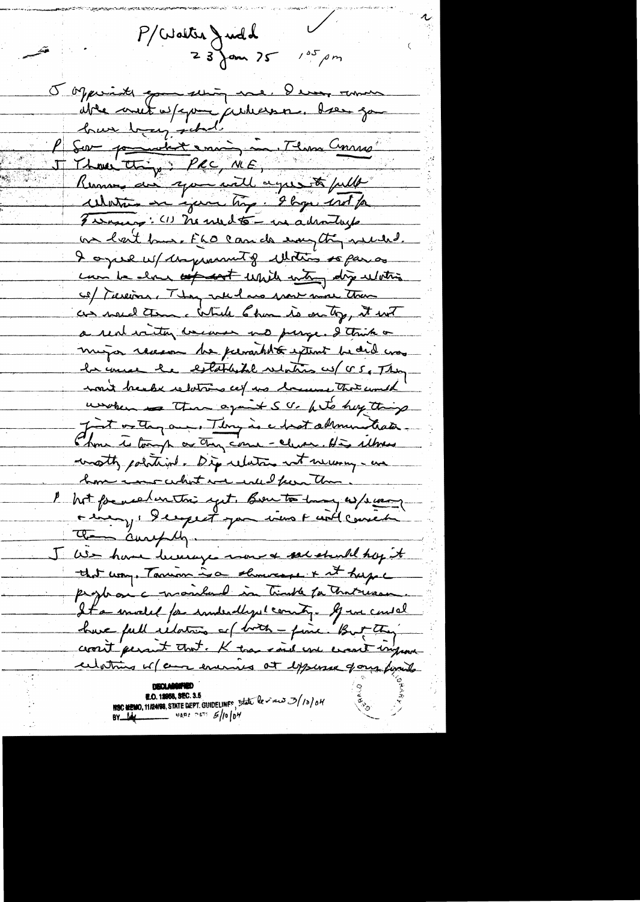$P/Uoltxa$  Judd<br>23 Jan 25  $105 \rho m$ Topperinte good serving me, I every remove uble mut w/cpm jauleesse. bær ga huse being school P Sou pour dix enous in Tens Course Water on your try. I hope ind for Funning: (1) he med to - we adraduate on lait bus. FLO can de emptin needed. I once when promote that is para can be about any cont while when dry whiting co/ Turcion, They were has more more than as noted than a while 6 km is on ty, it with a rent witting weaven me purge. I tank or mujor recessor he personable extent be did was he unce he established relation us (CS, They won't break relations cef us bound that could unoben a Than against S . a let buy things Just or they are. They is a hast administration Thou is tough or they come - clues, His whose wath political. Dip relation not necessary - un home were what we will feen than. hot formed unthis yet. Bento hay as/sway rien, deepet par vier raillemen a aurely We have been you want a send they it that way. Tanion is a showcage + it hape prophesic monland in timber for that was It a model for indealized county. If we could have full idation of both - fine. But they crosit persuit that. K than said you excent ingram celating of an evening at expense form finits **E.O. 12968, SEC. 3.5**<br>HSC NEMO, 11/24/98, STATE DEPT. GUIDELINFS, State level 2/10/04